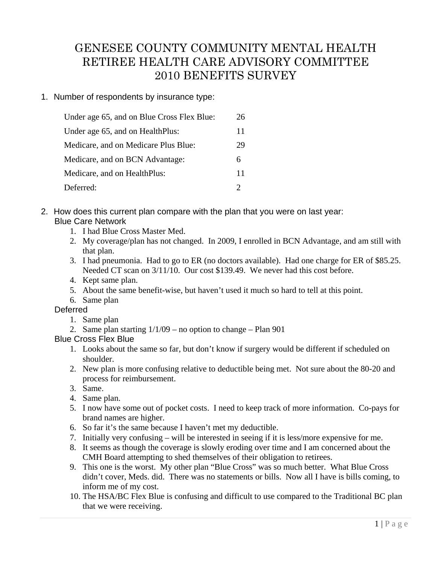# GENESEE COUNTY COMMUNITY MENTAL HEALTH RETIREE HEALTH CARE ADVISORY COMMITTEE 2010 BENEFITS SURVEY

### 1. Number of respondents by insurance type:

| Under age 65, and on Blue Cross Flex Blue: | 26 |
|--------------------------------------------|----|
| Under age 65, and on HealthPlus:           | 11 |
| Medicare, and on Medicare Plus Blue:       | 29 |
| Medicare, and on BCN Advantage:            | 6  |
| Medicare, and on HealthPlus:               | 11 |
| Deferred:                                  |    |

### 2. How does this current plan compare with the plan that you were on last year: Blue Care Network

- 1. I had Blue Cross Master Med.
- 2. My coverage/plan has not changed. In 2009, I enrolled in BCN Advantage, and am still with that plan.
- 3. I had pneumonia. Had to go to ER (no doctors available). Had one charge for ER of \$85.25. Needed CT scan on 3/11/10. Our cost \$139.49. We never had this cost before.
- 4. Kept same plan.
- 5. About the same benefit-wise, but haven't used it much so hard to tell at this point.
- 6. Same plan

### **Deferred**

- 1. Same plan
- 2. Same plan starting  $1/1/09$  no option to change Plan 901

### Blue Cross Flex Blue

- 1. Looks about the same so far, but don't know if surgery would be different if scheduled on shoulder.
- 2. New plan is more confusing relative to deductible being met. Not sure about the 80-20 and process for reimbursement.
- 3. Same.
- 4. Same plan.
- 5. I now have some out of pocket costs. I need to keep track of more information. Co-pays for brand names are higher.
- 6. So far it's the same because I haven't met my deductible.
- 7. Initially very confusing will be interested in seeing if it is less/more expensive for me.
- 8. It seems as though the coverage is slowly eroding over time and I am concerned about the CMH Board attempting to shed themselves of their obligation to retirees.
- 9. This one is the worst. My other plan "Blue Cross" was so much better. What Blue Cross didn't cover, Meds. did. There was no statements or bills. Now all I have is bills coming, to inform me of my cost.
- 10. The HSA/BC Flex Blue is confusing and difficult to use compared to the Traditional BC plan that we were receiving.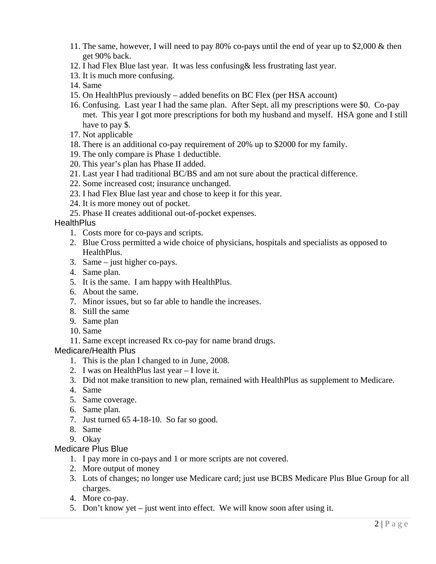- 11. The same, however, I will need to pay 80% co-pays until the end of year up to \$2,000 & then get 90% back.
- 12. I had Flex Blue last year. It was less confusing& less frustrating last year.
- 13. It is much more confusing.
- 14. Same
- 15. On HealthPlus previously added benefits on BC Flex (per HSA account)
- 16. Confusing. Last year I had the same plan. After Sept. all my prescriptions were \$0. Co-pay met. This year I got more prescriptions for both my husband and myself. HSA gone and I still have to pay \$.
- 17. Not applicable
- 18. There is an additional co-pay requirement of 20% up to \$2000 for my family.
- 19. The only compare is Phase 1 deductible.
- 20. This year's plan has Phase II added.
- 21. Last year I had traditional BC/BS and am not sure about the practical difference.
- 22. Some increased cost; insurance unchanged.
- 23. I had Flex Blue last year and chose to keep it for this year.
- 24. It is more money out of pocket.
- 25. Phase II creates additional out-of-pocket expenses.

#### **HealthPlus**

- 1. Costs more for co-pays and scripts.
- 2. Blue Cross permitted a wide choice of physicians, hospitals and specialists as opposed to HealthPlus.
- 3. Same just higher co-pays.
- 4. Same plan.
- 5. It is the same. I am happy with HealthPlus.
- 6. About the same.
- 7. Minor issues, but so far able to handle the increases.
- 8. Still the same
- 9. Same plan
- 10. Same
- 11. Same except increased Rx co-pay for name brand drugs.

#### Medicare/Health Plus

- 1. This is the plan I changed to in June, 2008.
- 2. I was on HealthPlus last year I love it.
- 3. Did not make transition to new plan, remained with HealthPlus as supplement to Medicare.
- 4. Same
- 5. Same coverage.
- 6. Same plan.
- 7. Just turned 65 4-18-10. So far so good.
- 8. Same
- 9. Okay

#### Medicare Plus Blue

- 1. I pay more in co-pays and 1 or more scripts are not covered.
- 2. More output of money
- 3. Lots of changes; no longer use Medicare card; just use BCBS Medicare Plus Blue Group for all charges.
- 4. More co-pay.
- 5. Don't know yet just went into effect. We will know soon after using it.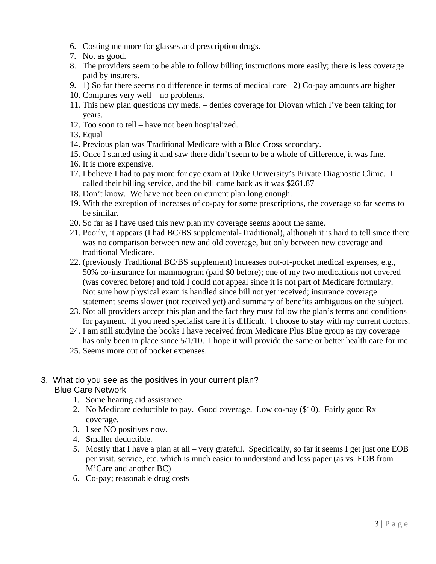- 6. Costing me more for glasses and prescription drugs.
- 7. Not as good.
- 8. The providers seem to be able to follow billing instructions more easily; there is less coverage paid by insurers.
- 9. 1) So far there seems no difference in terms of medical care 2) Co-pay amounts are higher
- 10. Compares very well no problems.
- 11. This new plan questions my meds. denies coverage for Diovan which I've been taking for years.
- 12. Too soon to tell have not been hospitalized.
- 13. Equal
- 14. Previous plan was Traditional Medicare with a Blue Cross secondary.
- 15. Once I started using it and saw there didn't seem to be a whole of difference, it was fine.
- 16. It is more expensive.
- 17. I believe I had to pay more for eye exam at Duke University's Private Diagnostic Clinic. I called their billing service, and the bill came back as it was \$261.87
- 18. Don't know. We have not been on current plan long enough.
- 19. With the exception of increases of co-pay for some prescriptions, the coverage so far seems to be similar.
- 20. So far as I have used this new plan my coverage seems about the same.
- 21. Poorly, it appears (I had BC/BS supplemental-Traditional), although it is hard to tell since there was no comparison between new and old coverage, but only between new coverage and traditional Medicare.
- 22. (previously Traditional BC/BS supplement) Increases out-of-pocket medical expenses, e.g., 50% co-insurance for mammogram (paid \$0 before); one of my two medications not covered (was covered before) and told I could not appeal since it is not part of Medicare formulary. Not sure how physical exam is handled since bill not yet received; insurance coverage statement seems slower (not received yet) and summary of benefits ambiguous on the subject.
- 23. Not all providers accept this plan and the fact they must follow the plan's terms and conditions for payment. If you need specialist care it is difficult. I choose to stay with my current doctors.
- 24. I am still studying the books I have received from Medicare Plus Blue group as my coverage has only been in place since 5/1/10. I hope it will provide the same or better health care for me.
- 25. Seems more out of pocket expenses.

### 3. What do you see as the positives in your current plan? Blue Care Network

- 1. Some hearing aid assistance.
- 2. No Medicare deductible to pay. Good coverage. Low co-pay (\$10). Fairly good Rx coverage.
- 3. I see NO positives now.
- 4. Smaller deductible.
- 5. Mostly that I have a plan at all very grateful. Specifically, so far it seems I get just one EOB per visit, service, etc. which is much easier to understand and less paper (as vs. EOB from M'Care and another BC)
- 6. Co-pay; reasonable drug costs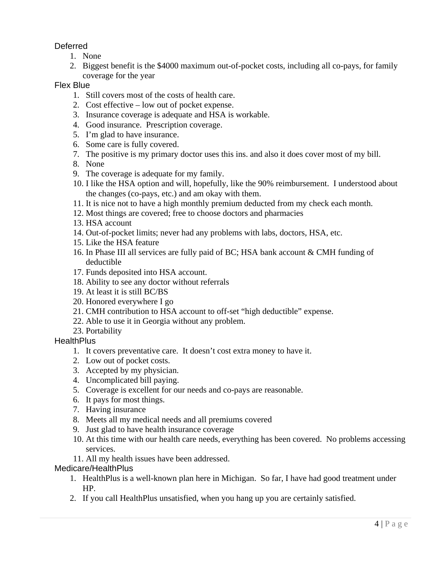### Deferred

- 1. None
- 2. Biggest benefit is the \$4000 maximum out-of-pocket costs, including all co-pays, for family coverage for the year

#### Flex Blue

- 1. Still covers most of the costs of health care.
- 2. Cost effective low out of pocket expense.
- 3. Insurance coverage is adequate and HSA is workable.
- 4. Good insurance. Prescription coverage.
- 5. I'm glad to have insurance.
- 6. Some care is fully covered.
- 7. The positive is my primary doctor uses this ins. and also it does cover most of my bill.
- 8. None
- 9. The coverage is adequate for my family.
- 10. I like the HSA option and will, hopefully, like the 90% reimbursement. I understood about the changes (co-pays, etc.) and am okay with them.
- 11. It is nice not to have a high monthly premium deducted from my check each month.
- 12. Most things are covered; free to choose doctors and pharmacies
- 13. HSA account
- 14. Out-of-pocket limits; never had any problems with labs, doctors, HSA, etc.
- 15. Like the HSA feature
- 16. In Phase III all services are fully paid of BC; HSA bank account & CMH funding of deductible
- 17. Funds deposited into HSA account.
- 18. Ability to see any doctor without referrals
- 19. At least it is still BC/BS
- 20. Honored everywhere I go
- 21. CMH contribution to HSA account to off-set "high deductible" expense.
- 22. Able to use it in Georgia without any problem.
- 23. Portability

#### **HealthPlus**

- 1. It covers preventative care. It doesn't cost extra money to have it.
- 2. Low out of pocket costs.
- 3. Accepted by my physician.
- 4. Uncomplicated bill paying.
- 5. Coverage is excellent for our needs and co-pays are reasonable.
- 6. It pays for most things.
- 7. Having insurance
- 8. Meets all my medical needs and all premiums covered
- 9. Just glad to have health insurance coverage
- 10. At this time with our health care needs, everything has been covered. No problems accessing services.
- 11. All my health issues have been addressed.

#### Medicare/HealthPlus

- 1. HealthPlus is a well-known plan here in Michigan. So far, I have had good treatment under HP.
- 2. If you call HealthPlus unsatisfied, when you hang up you are certainly satisfied.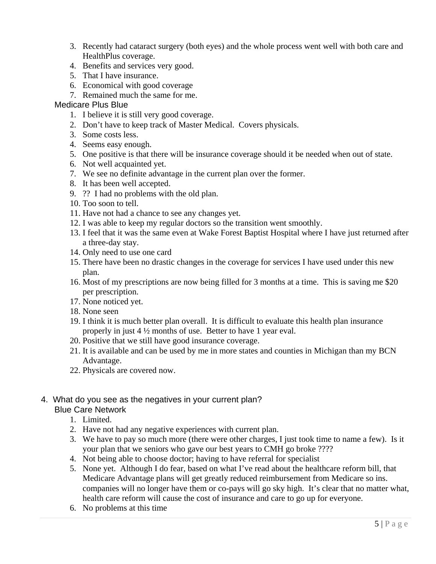- 3. Recently had cataract surgery (both eyes) and the whole process went well with both care and HealthPlus coverage.
- 4. Benefits and services very good.
- 5. That I have insurance.
- 6. Economical with good coverage
- 7. Remained much the same for me.

#### Medicare Plus Blue

- 1. I believe it is still very good coverage.
- 2. Don't have to keep track of Master Medical. Covers physicals.
- 3. Some costs less.
- 4. Seems easy enough.
- 5. One positive is that there will be insurance coverage should it be needed when out of state.
- 6. Not well acquainted yet.
- 7. We see no definite advantage in the current plan over the former.
- 8. It has been well accepted.
- 9. ?? I had no problems with the old plan.
- 10. Too soon to tell.
- 11. Have not had a chance to see any changes yet.
- 12. I was able to keep my regular doctors so the transition went smoothly.
- 13. I feel that it was the same even at Wake Forest Baptist Hospital where I have just returned after a three-day stay.
- 14. Only need to use one card
- 15. There have been no drastic changes in the coverage for services I have used under this new plan.
- 16. Most of my prescriptions are now being filled for 3 months at a time. This is saving me \$20 per prescription.
- 17. None noticed yet.
- 18. None seen
- 19. I think it is much better plan overall. It is difficult to evaluate this health plan insurance properly in just 4 ½ months of use. Better to have 1 year eval.
- 20. Positive that we still have good insurance coverage.
- 21. It is available and can be used by me in more states and counties in Michigan than my BCN Advantage.
- 22. Physicals are covered now.

#### 4. What do you see as the negatives in your current plan? Blue Care Network

- 1. Limited.
- 2. Have not had any negative experiences with current plan.
- 3. We have to pay so much more (there were other charges, I just took time to name a few). Is it your plan that we seniors who gave our best years to CMH go broke ????
- 4. Not being able to choose doctor; having to have referral for specialist
- 5. None yet. Although I do fear, based on what I've read about the healthcare reform bill, that Medicare Advantage plans will get greatly reduced reimbursement from Medicare so ins. companies will no longer have them or co-pays will go sky high. It's clear that no matter what, health care reform will cause the cost of insurance and care to go up for everyone.
- 6. No problems at this time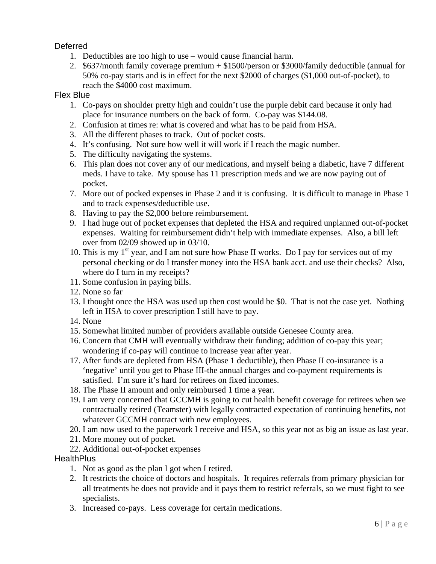### Deferred

- 1. Deductibles are too high to use would cause financial harm.
- 2. \$637/month family coverage premium + \$1500/person or \$3000/family deductible (annual for 50% co-pay starts and is in effect for the next \$2000 of charges (\$1,000 out-of-pocket), to reach the \$4000 cost maximum.

#### Flex Blue

- 1. Co-pays on shoulder pretty high and couldn't use the purple debit card because it only had place for insurance numbers on the back of form. Co-pay was \$144.08.
- 2. Confusion at times re: what is covered and what has to be paid from HSA.
- 3. All the different phases to track. Out of pocket costs.
- 4. It's confusing. Not sure how well it will work if I reach the magic number.
- 5. The difficulty navigating the systems.
- 6. This plan does not cover any of our medications, and myself being a diabetic, have 7 different meds. I have to take. My spouse has 11 prescription meds and we are now paying out of pocket.
- 7. More out of pocked expenses in Phase 2 and it is confusing. It is difficult to manage in Phase 1 and to track expenses/deductible use.
- 8. Having to pay the \$2,000 before reimbursement.
- 9. I had huge out of pocket expenses that depleted the HSA and required unplanned out-of-pocket expenses. Waiting for reimbursement didn't help with immediate expenses. Also, a bill left over from 02/09 showed up in 03/10.
- 10. This is my  $1<sup>st</sup>$  year, and I am not sure how Phase II works. Do I pay for services out of my personal checking or do I transfer money into the HSA bank acct. and use their checks? Also, where do I turn in my receipts?
	- 11. Some confusion in paying bills.
	- 12. None so far
	- 13. I thought once the HSA was used up then cost would be \$0. That is not the case yet. Nothing left in HSA to cover prescription I still have to pay.
	- 14. None
	- 15. Somewhat limited number of providers available outside Genesee County area.
	- 16. Concern that CMH will eventually withdraw their funding; addition of co-pay this year; wondering if co-pay will continue to increase year after year.
	- 17. After funds are depleted from HSA (Phase 1 deductible), then Phase II co-insurance is a 'negative' until you get to Phase III-the annual charges and co-payment requirements is satisfied. I'm sure it's hard for retirees on fixed incomes.
	- 18. The Phase II amount and only reimbursed 1 time a year.
	- 19. I am very concerned that GCCMH is going to cut health benefit coverage for retirees when we contractually retired (Teamster) with legally contracted expectation of continuing benefits, not whatever GCCMH contract with new employees.
	- 20. I am now used to the paperwork I receive and HSA, so this year not as big an issue as last year.
	- 21. More money out of pocket.
	- 22. Additional out-of-pocket expenses

#### **HealthPlus**

- 1. Not as good as the plan I got when I retired.
- 2. It restricts the choice of doctors and hospitals. It requires referrals from primary physician for all treatments he does not provide and it pays them to restrict referrals, so we must fight to see specialists.
- 3. Increased co-pays. Less coverage for certain medications.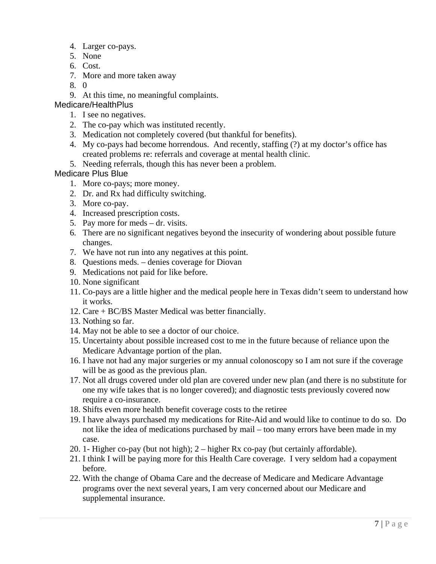- 4. Larger co-pays.
- 5. None
- 6. Cost.
- 7. More and more taken away
- 8. 0
- 9. At this time, no meaningful complaints.

### Medicare/HealthPlus

- 1. I see no negatives.
- 2. The co-pay which was instituted recently.
- 3. Medication not completely covered (but thankful for benefits).
- 4. My co-pays had become horrendous. And recently, staffing (?) at my doctor's office has created problems re: referrals and coverage at mental health clinic.
- 5. Needing referrals, though this has never been a problem.

#### Medicare Plus Blue

- 1. More co-pays; more money.
- 2. Dr. and Rx had difficulty switching.
- 3. More co-pay.
- 4. Increased prescription costs.
- 5. Pay more for meds dr. visits.
- 6. There are no significant negatives beyond the insecurity of wondering about possible future changes.
- 7. We have not run into any negatives at this point.
- 8. Questions meds. denies coverage for Diovan
- 9. Medications not paid for like before.
- 10. None significant
- 11. Co-pays are a little higher and the medical people here in Texas didn't seem to understand how it works.
- 12. Care + BC/BS Master Medical was better financially.
- 13. Nothing so far.
- 14. May not be able to see a doctor of our choice.
- 15. Uncertainty about possible increased cost to me in the future because of reliance upon the Medicare Advantage portion of the plan.
- 16. I have not had any major surgeries or my annual colonoscopy so I am not sure if the coverage will be as good as the previous plan.
- 17. Not all drugs covered under old plan are covered under new plan (and there is no substitute for one my wife takes that is no longer covered); and diagnostic tests previously covered now require a co-insurance.
- 18. Shifts even more health benefit coverage costs to the retiree
- 19. I have always purchased my medications for Rite-Aid and would like to continue to do so. Do not like the idea of medications purchased by mail – too many errors have been made in my case.
- 20. 1- Higher co-pay (but not high); 2 higher Rx co-pay (but certainly affordable).
- 21. I think I will be paying more for this Health Care coverage. I very seldom had a copayment before.
- 22. With the change of Obama Care and the decrease of Medicare and Medicare Advantage programs over the next several years, I am very concerned about our Medicare and supplemental insurance.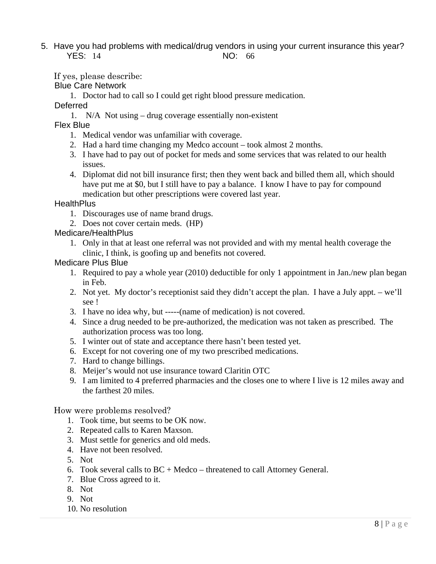5. Have you had problems with medical/drug vendors in using your current insurance this year? YES: 14 NO: 66

If yes, please describe:

#### Blue Care Network

1. Doctor had to call so I could get right blood pressure medication.

#### Deferred

1. N/A Not using – drug coverage essentially non-existent

Flex Blue

- 1. Medical vendor was unfamiliar with coverage.
- 2. Had a hard time changing my Medco account took almost 2 months.
- 3. I have had to pay out of pocket for meds and some services that was related to our health issues.
- 4. Diplomat did not bill insurance first; then they went back and billed them all, which should have put me at \$0, but I still have to pay a balance. I know I have to pay for compound medication but other prescriptions were covered last year.

#### **HealthPlus**

- 1. Discourages use of name brand drugs.
- 2. Does not cover certain meds. (HP)

#### Medicare/HealthPlus

 1. Only in that at least one referral was not provided and with my mental health coverage the clinic, I think, is goofing up and benefits not covered.

#### Medicare Plus Blue

- 1. Required to pay a whole year (2010) deductible for only 1 appointment in Jan./new plan began in Feb.
- 2. Not yet. My doctor's receptionist said they didn't accept the plan. I have a July appt. we'll see !
- 3. I have no idea why, but -----(name of medication) is not covered.
- 4. Since a drug needed to be pre-authorized, the medication was not taken as prescribed. The authorization process was too long.
- 5. I winter out of state and acceptance there hasn't been tested yet.
- 6. Except for not covering one of my two prescribed medications.
- 7. Hard to change billings.
- 8. Meijer's would not use insurance toward Claritin OTC
- 9. I am limited to 4 preferred pharmacies and the closes one to where I live is 12 miles away and the farthest 20 miles.

How were problems resolved?

- 1. Took time, but seems to be OK now.
- 2. Repeated calls to Karen Maxson.
- 3. Must settle for generics and old meds.
- 4. Have not been resolved.
- 5. Not
- 6. Took several calls to  $BC + Medco the$  threatened to call Attorney General.
- 7. Blue Cross agreed to it.
- 8. Not
- 9. Not
- 10. No resolution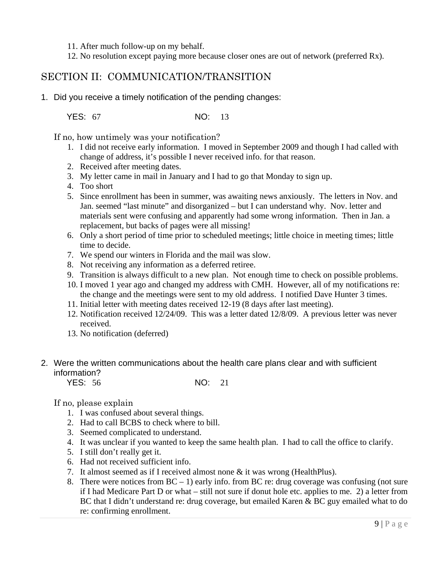- 11. After much follow-up on my behalf.
- 12. No resolution except paying more because closer ones are out of network (preferred Rx).

## SECTION II: COMMUNICATION/TRANSITION

1. Did you receive a timely notification of the pending changes:

YES: 67 NO: 13

If no, how untimely was your notification?

- 1. I did not receive early information. I moved in September 2009 and though I had called with change of address, it's possible I never received info. for that reason.
- 2. Received after meeting dates.
- 3. My letter came in mail in January and I had to go that Monday to sign up.
- 4. Too short
- 5. Since enrollment has been in summer, was awaiting news anxiously. The letters in Nov. and Jan. seemed "last minute" and disorganized – but I can understand why. Nov. letter and materials sent were confusing and apparently had some wrong information. Then in Jan. a replacement, but backs of pages were all missing!
- 6. Only a short period of time prior to scheduled meetings; little choice in meeting times; little time to decide.
- 7. We spend our winters in Florida and the mail was slow.
- 8. Not receiving any information as a deferred retiree.
- 9. Transition is always difficult to a new plan. Not enough time to check on possible problems.
- 10. I moved 1 year ago and changed my address with CMH. However, all of my notifications re: the change and the meetings were sent to my old address. I notified Dave Hunter 3 times.
- 11. Initial letter with meeting dates received 12-19 (8 days after last meeting).
- 12. Notification received 12/24/09. This was a letter dated 12/8/09. A previous letter was never received.
- 13. No notification (deferred)
- 2. Were the written communications about the health care plans clear and with sufficient information?
	- YES: 56 NO: 21

#### If no, please explain

- 1. I was confused about several things.
- 2. Had to call BCBS to check where to bill.
- 3. Seemed complicated to understand.
- 4. It was unclear if you wanted to keep the same health plan. I had to call the office to clarify.
- 5. I still don't really get it.
- 6. Had not received sufficient info.
- 7. It almost seemed as if I received almost none & it was wrong (HealthPlus).
- 8. There were notices from  $BC 1$ ) early info. from  $BC$  re: drug coverage was confusing (not sure if I had Medicare Part D or what – still not sure if donut hole etc. applies to me. 2) a letter from BC that I didn't understand re: drug coverage, but emailed Karen & BC guy emailed what to do re: confirming enrollment.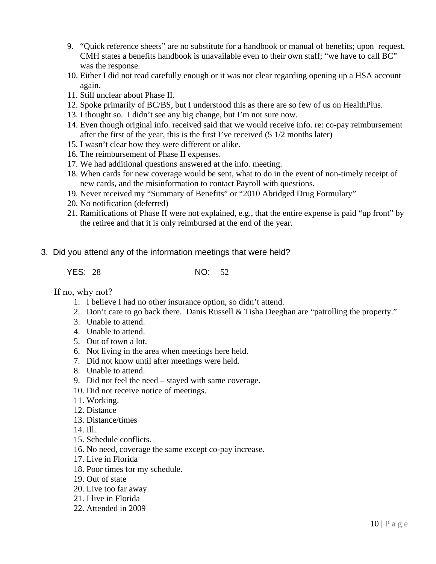- 9. "Quick reference sheets" are no substitute for a handbook or manual of benefits; upon request, CMH states a benefits handbook is unavailable even to their own staff; "we have to call BC" was the response.
- 10. Either I did not read carefully enough or it was not clear regarding opening up a HSA account again.
- 11. Still unclear about Phase II.
- 12. Spoke primarily of BC/BS, but I understood this as there are so few of us on HealthPlus.
- 13. I thought so. I didn't see any big change, but I'm not sure now.
- 14. Even though original info. received said that we would receive info. re: co-pay reimbursement after the first of the year, this is the first I've received (5 1/2 months later)
- 15. I wasn't clear how they were different or alike.
- 16. The reimbursement of Phase II expenses.
- 17. We had additional questions answered at the info. meeting.
- 18. When cards for new coverage would be sent, what to do in the event of non-timely receipt of new cards, and the misinformation to contact Payroll with questions.
- 19. Never received my "Summary of Benefits" or "2010 Abridged Drug Formulary"
- 20. No notification (deferred)
- 21. Ramifications of Phase II were not explained, e.g., that the entire expense is paid "up front" by the retiree and that it is only reimbursed at the end of the year.
- 3. Did you attend any of the information meetings that were held?

YES: 28 NO: 52

If no, why not?

- 1. I believe I had no other insurance option, so didn't attend.
- 2. Don't care to go back there. Danis Russell & Tisha Deeghan are "patrolling the property."
- 3. Unable to attend.
- 4. Unable to attend.
- 5. Out of town a lot.
- 6. Not living in the area when meetings here held.
- 7. Did not know until after meetings were held.
- 8. Unable to attend.
- 9. Did not feel the need stayed with same coverage.
- 10. Did not receive notice of meetings.
- 11. Working.
- 12. Distance
- 13. Distance/times
- 14. Ill.
- 15. Schedule conflicts.
- 16. No need, coverage the same except co-pay increase.
- 17. Live in Florida
- 18. Poor times for my schedule.
- 19. Out of state
- 20. Live too far away.
- 21. I live in Florida
- 22. Attended in 2009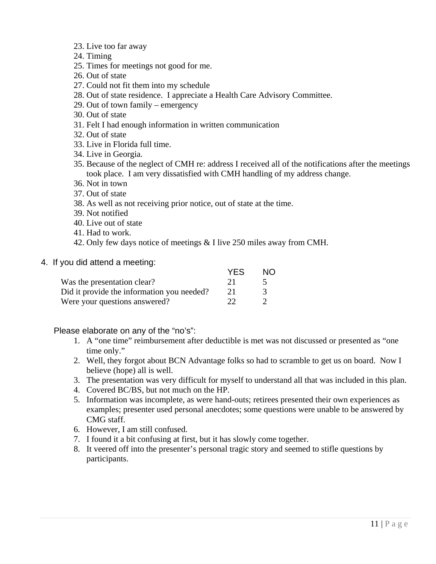- 23. Live too far away
- 24. Timing
- 25. Times for meetings not good for me.
- 26. Out of state
- 27. Could not fit them into my schedule
- 28. Out of state residence. I appreciate a Health Care Advisory Committee.
- 29. Out of town family emergency
- 30. Out of state
- 31. Felt I had enough information in written communication
- 32. Out of state
- 33. Live in Florida full time.
- 34. Live in Georgia.
- 35. Because of the neglect of CMH re: address I received all of the notifications after the meetings took place. I am very dissatisfied with CMH handling of my address change.
- 36. Not in town
- 37. Out of state
- 38. As well as not receiving prior notice, out of state at the time.
- 39. Not notified
- 40. Live out of state
- 41. Had to work.
- 42. Only few days notice of meetings & I live 250 miles away from CMH.
- 4. If you did attend a meeting:

|                                            | <b>YES</b> | ΝO |
|--------------------------------------------|------------|----|
| Was the presentation clear?                | 21         |    |
| Did it provide the information you needed? |            |    |
| Were your questions answered?              | つつ         |    |

#### Please elaborate on any of the "no's":

- 1. A "one time" reimbursement after deductible is met was not discussed or presented as "one time only."
- 2. Well, they forgot about BCN Advantage folks so had to scramble to get us on board. Now I believe (hope) all is well.
- 3. The presentation was very difficult for myself to understand all that was included in this plan.
- 4. Covered BC/BS, but not much on the HP.
- 5. Information was incomplete, as were hand-outs; retirees presented their own experiences as examples; presenter used personal anecdotes; some questions were unable to be answered by CMG staff.
- 6. However, I am still confused.
- 7. I found it a bit confusing at first, but it has slowly come together.
- 8. It veered off into the presenter's personal tragic story and seemed to stifle questions by participants.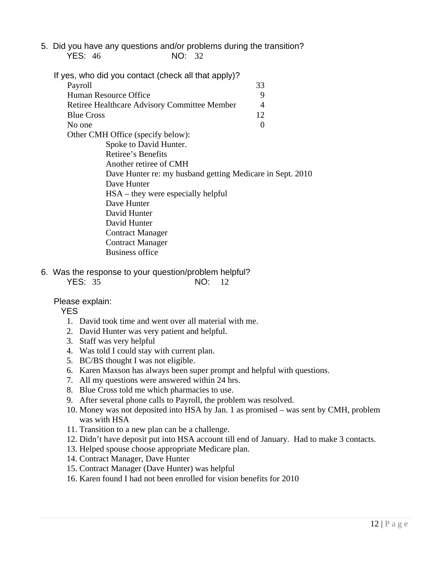- 5. Did you have any questions and/or problems during the transition? YES: 46 NO: 32
	- If yes, who did you contact (check all that apply)? Payroll 33 Human Resource Office 9 Retiree Healthcare Advisory Committee Member 4 Blue Cross 12 No one  $\qquad \qquad 0$ Other CMH Office (specify below): Spoke to David Hunter. Retiree's Benefits Another retiree of CMH Dave Hunter re: my husband getting Medicare in Sept. 2010 Dave Hunter HSA – they were especially helpful Dave Hunter David Hunter David Hunter Contract Manager Contract Manager Business office
- 6. Was the response to your question/problem helpful? YES: 35 NO: 12

Please explain:

YES

- 1. David took time and went over all material with me.
- 2. David Hunter was very patient and helpful.
- 3. Staff was very helpful
- 4. Was told I could stay with current plan.
- 5. BC/BS thought I was not eligible.
- 6. Karen Maxson has always been super prompt and helpful with questions.
- 7. All my questions were answered within 24 hrs.
- 8. Blue Cross told me which pharmacies to use.
- 9. After several phone calls to Payroll, the problem was resolved.
- 10. Money was not deposited into HSA by Jan. 1 as promised was sent by CMH, problem was with HSA
- 11. Transition to a new plan can be a challenge.
- 12. Didn't have deposit put into HSA account till end of January. Had to make 3 contacts.
- 13. Helped spouse choose appropriate Medicare plan.
- 14. Contract Manager, Dave Hunter
- 15. Contract Manager (Dave Hunter) was helpful
- 16. Karen found I had not been enrolled for vision benefits for 2010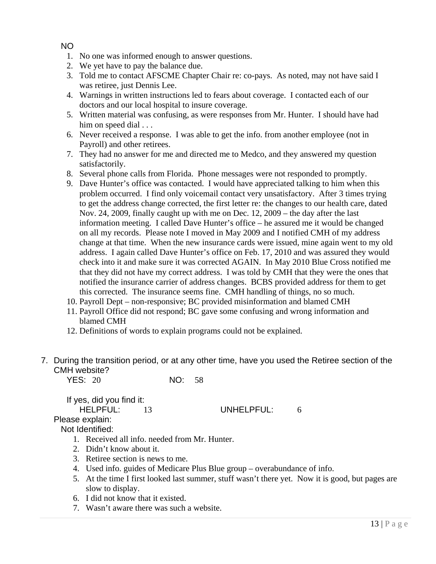### NO

- 1. No one was informed enough to answer questions.
- 2. We yet have to pay the balance due.
- 3. Told me to contact AFSCME Chapter Chair re: co-pays. As noted, may not have said I was retiree, just Dennis Lee.
- 4. Warnings in written instructions led to fears about coverage. I contacted each of our doctors and our local hospital to insure coverage.
- 5. Written material was confusing, as were responses from Mr. Hunter. I should have had him on speed dial . . .
- 6. Never received a response. I was able to get the info. from another employee (not in Payroll) and other retirees.
- 7. They had no answer for me and directed me to Medco, and they answered my question satisfactorily.
- 8. Several phone calls from Florida. Phone messages were not responded to promptly.
- 9. Dave Hunter's office was contacted. I would have appreciated talking to him when this problem occurred. I find only voicemail contact very unsatisfactory. After 3 times trying to get the address change corrected, the first letter re: the changes to our health care, dated Nov. 24, 2009, finally caught up with me on Dec. 12, 2009 – the day after the last information meeting. I called Dave Hunter's office – he assured me it would be changed on all my records. Please note I moved in May 2009 and I notified CMH of my address change at that time. When the new insurance cards were issued, mine again went to my old address. I again called Dave Hunter's office on Feb. 17, 2010 and was assured they would check into it and make sure it was corrected AGAIN. In May 2010 Blue Cross notified me that they did not have my correct address. I was told by CMH that they were the ones that notified the insurance carrier of address changes. BCBS provided address for them to get this corrected. The insurance seems fine. CMH handling of things, no so much.
- 10. Payroll Dept non-responsive; BC provided misinformation and blamed CMH
- 11. Payroll Office did not respond; BC gave some confusing and wrong information and blamed CMH
- 12. Definitions of words to explain programs could not be explained.
- 7. During the transition period, or at any other time, have you used the Retiree section of the CMH website?

| <b>YES: 20</b> | NO: 58 |  |
|----------------|--------|--|
|----------------|--------|--|

If yes, did you find it: HELPFUL: 13 UNHELPFUL: 6 Please explain:

Not Identified:

- 1. Received all info. needed from Mr. Hunter.
- 2. Didn't know about it.
- 3. Retiree section is news to me.
- 4. Used info. guides of Medicare Plus Blue group overabundance of info.
- 5. At the time I first looked last summer, stuff wasn't there yet. Now it is good, but pages are slow to display.
- 6. I did not know that it existed.
- 7. Wasn't aware there was such a website.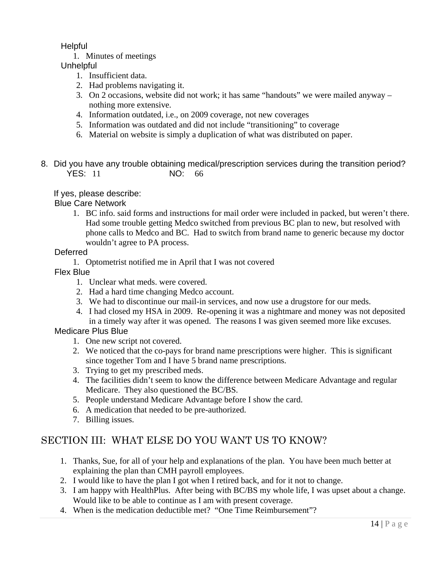Helpful

1. Minutes of meetings

**Unhelpful** 

- 1. Insufficient data.
- 2. Had problems navigating it.
- 3. On 2 occasions, website did not work; it has same "handouts" we were mailed anyway nothing more extensive.
- 4. Information outdated, i.e., on 2009 coverage, not new coverages
- 5. Information was outdated and did not include "transitioning" to coverage
- 6. Material on website is simply a duplication of what was distributed on paper.
- 8. Did you have any trouble obtaining medical/prescription services during the transition period? YES: 11 NO: 66

## If yes, please describe:

## Blue Care Network

 1. BC info. said forms and instructions for mail order were included in packed, but weren't there. Had some trouble getting Medco switched from previous BC plan to new, but resolved with phone calls to Medco and BC. Had to switch from brand name to generic because my doctor wouldn't agree to PA process.

## Deferred

1. Optometrist notified me in April that I was not covered

## Flex Blue

- 1. Unclear what meds. were covered.
- 2. Had a hard time changing Medco account.
- 3. We had to discontinue our mail-in services, and now use a drugstore for our meds.
- 4. I had closed my HSA in 2009. Re-opening it was a nightmare and money was not deposited in a timely way after it was opened. The reasons I was given seemed more like excuses.

## Medicare Plus Blue

- 1. One new script not covered.
- 2. We noticed that the co-pays for brand name prescriptions were higher. This is significant since together Tom and I have 5 brand name prescriptions.
- 3. Trying to get my prescribed meds.
- 4. The facilities didn't seem to know the difference between Medicare Advantage and regular Medicare. They also questioned the BC/BS.
- 5. People understand Medicare Advantage before I show the card.
- 6. A medication that needed to be pre-authorized.
- 7. Billing issues.

# SECTION III: WHAT ELSE DO YOU WANT US TO KNOW?

- 1. Thanks, Sue, for all of your help and explanations of the plan. You have been much better at explaining the plan than CMH payroll employees.
- 2. I would like to have the plan I got when I retired back, and for it not to change.
- 3. I am happy with HealthPlus. After being with BC/BS my whole life, I was upset about a change. Would like to be able to continue as I am with present coverage.
- 4. When is the medication deductible met? "One Time Reimbursement"?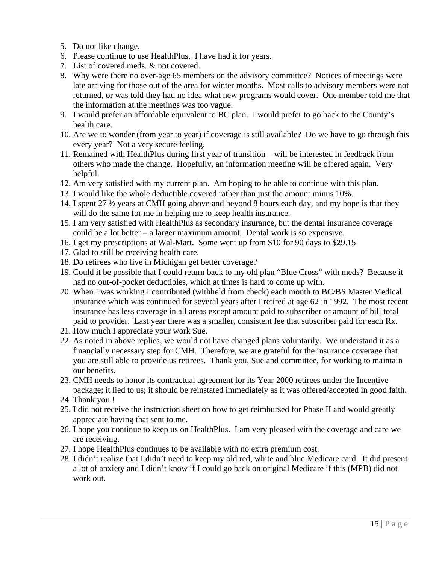- 5. Do not like change.
- 6. Please continue to use HealthPlus. I have had it for years.
- 7. List of covered meds. & not covered.
- 8. Why were there no over-age 65 members on the advisory committee? Notices of meetings were late arriving for those out of the area for winter months. Most calls to advisory members were not returned, or was told they had no idea what new programs would cover. One member told me that the information at the meetings was too vague.
- 9. I would prefer an affordable equivalent to BC plan. I would prefer to go back to the County's health care.
- 10. Are we to wonder (from year to year) if coverage is still available? Do we have to go through this every year? Not a very secure feeling.
- 11. Remained with HealthPlus during first year of transition will be interested in feedback from others who made the change. Hopefully, an information meeting will be offered again. Very helpful.
- 12. Am very satisfied with my current plan. Am hoping to be able to continue with this plan.
- 13. I would like the whole deductible covered rather than just the amount minus 10%.
- 14. I spent 27 ½ years at CMH going above and beyond 8 hours each day, and my hope is that they will do the same for me in helping me to keep health insurance.
- 15. I am very satisfied with HealthPlus as secondary insurance, but the dental insurance coverage could be a lot better – a larger maximum amount. Dental work is so expensive.
- 16. I get my prescriptions at Wal-Mart. Some went up from \$10 for 90 days to \$29.15
- 17. Glad to still be receiving health care.
- 18. Do retirees who live in Michigan get better coverage?
- 19. Could it be possible that I could return back to my old plan "Blue Cross" with meds? Because it had no out-of-pocket deductibles, which at times is hard to come up with.
- 20. When I was working I contributed (withheld from check) each month to BC/BS Master Medical insurance which was continued for several years after I retired at age 62 in 1992. The most recent insurance has less coverage in all areas except amount paid to subscriber or amount of bill total paid to provider. Last year there was a smaller, consistent fee that subscriber paid for each Rx.
- 21. How much I appreciate your work Sue.
- 22. As noted in above replies, we would not have changed plans voluntarily. We understand it as a financially necessary step for CMH. Therefore, we are grateful for the insurance coverage that you are still able to provide us retirees. Thank you, Sue and committee, for working to maintain our benefits.
- 23. CMH needs to honor its contractual agreement for its Year 2000 retirees under the Incentive package; it lied to us; it should be reinstated immediately as it was offered/accepted in good faith.
- 24. Thank you !
- 25. I did not receive the instruction sheet on how to get reimbursed for Phase II and would greatly appreciate having that sent to me.
- 26. I hope you continue to keep us on HealthPlus. I am very pleased with the coverage and care we are receiving.
- 27. I hope HealthPlus continues to be available with no extra premium cost.
- 28. I didn't realize that I didn't need to keep my old red, white and blue Medicare card. It did present a lot of anxiety and I didn't know if I could go back on original Medicare if this (MPB) did not work out.